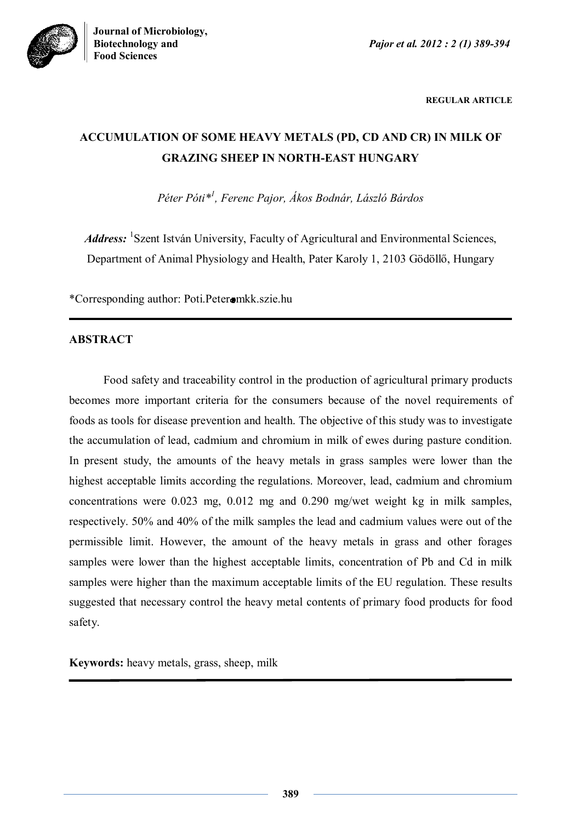



**REGULAR ARTICLE**

# **ACCUMULATION OF SOME HEAVY METALS (PD, CD AND CR) IN MILK OF GRAZING SHEEP IN NORTH-EAST HUNGARY**

*Péter Póti\* 1 , Ferenc Pajor, Ákos Bodnár, László Bárdos*

Address: <sup>1</sup>Szent István University, Faculty of Agricultural and Environmental Sciences, Department of Animal Physiology and Health, Pater Karoly 1, 2103 Gödöllő, Hungary

\*Corresponding author: Poti.Peter mkk.szie.hu

## **ABSTRACT**

Food safety and traceability control in the production of agricultural primary products becomes more important criteria for the consumers because of the novel requirements of foods as tools for disease prevention and health. The objective of this study was to investigate the accumulation of lead, cadmium and chromium in milk of ewes during pasture condition. In present study, the amounts of the heavy metals in grass samples were lower than the highest acceptable limits according the regulations. Moreover, lead, cadmium and chromium concentrations were 0.023 mg, 0.012 mg and 0.290 mg/wet weight kg in milk samples, respectively. 50% and 40% of the milk samples the lead and cadmium values were out of the permissible limit. However, the amount of the heavy metals in grass and other forages samples were lower than the highest acceptable limits, concentration of Pb and Cd in milk samples were higher than the maximum acceptable limits of the EU regulation. These results suggested that necessary control the heavy metal contents of primary food products for food safety.

**Keywords:** heavy metals, grass, sheep, milk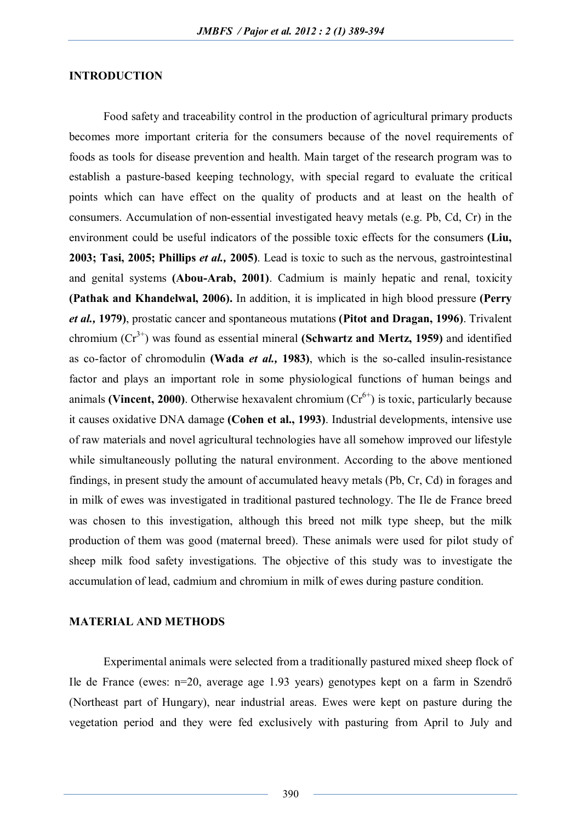#### **INTRODUCTION**

Food safety and traceability control in the production of agricultural primary products becomes more important criteria for the consumers because of the novel requirements of foods as tools for disease prevention and health. Main target of the research program was to establish a pasture-based keeping technology, with special regard to evaluate the critical points which can have effect on the quality of products and at least on the health of consumers. Accumulation of non-essential investigated heavy metals (e.g. Pb, Cd, Cr) in the environment could be useful indicators of the possible toxic effects for the consumers **(Liu, 2003; Tasi, 2005; Phillips** *et al.,* **2005)**. Lead is toxic to such as the nervous, gastrointestinal and genital systems **(Abou-Arab, 2001)**. Cadmium is mainly hepatic and renal, toxicity **(Pathak and Khandelwal, 2006).** In addition, it is implicated in high blood pressure **(Perry**  *et al.,* **1979)**, prostatic cancer and spontaneous mutations **(Pitot and Dragan, 1996)**. Trivalent chromium  $(Cr^{3+})$  was found as essential mineral **(Schwartz and Mertz, 1959)** and identified as co-factor of chromodulin **(Wada** *et al.,* **1983)**, which is the so-called insulin-resistance factor and plays an important role in some physiological functions of human beings and animals **(Vincent, 2000)**. Otherwise hexavalent chromium  $(Cr^{6+})$  is toxic, particularly because it causes oxidative DNA damage **(Cohen et al., 1993)**. Industrial developments, intensive use of raw materials and novel agricultural technologies have all somehow improved our lifestyle while simultaneously polluting the natural environment. According to the above mentioned findings, in present study the amount of accumulated heavy metals (Pb, Cr, Cd) in forages and in milk of ewes was investigated in traditional pastured technology. The Ile de France breed was chosen to this investigation, although this breed not milk type sheep, but the milk production of them was good (maternal breed). These animals were used for pilot study of sheep milk food safety investigations. The objective of this study was to investigate the accumulation of lead, cadmium and chromium in milk of ewes during pasture condition.

#### **MATERIAL AND METHODS**

Experimental animals were selected from a traditionally pastured mixed sheep flock of Ile de France (ewes: n=20, average age 1.93 years) genotypes kept on a farm in Szendrő (Northeast part of Hungary), near industrial areas. Ewes were kept on pasture during the vegetation period and they were fed exclusively with pasturing from April to July and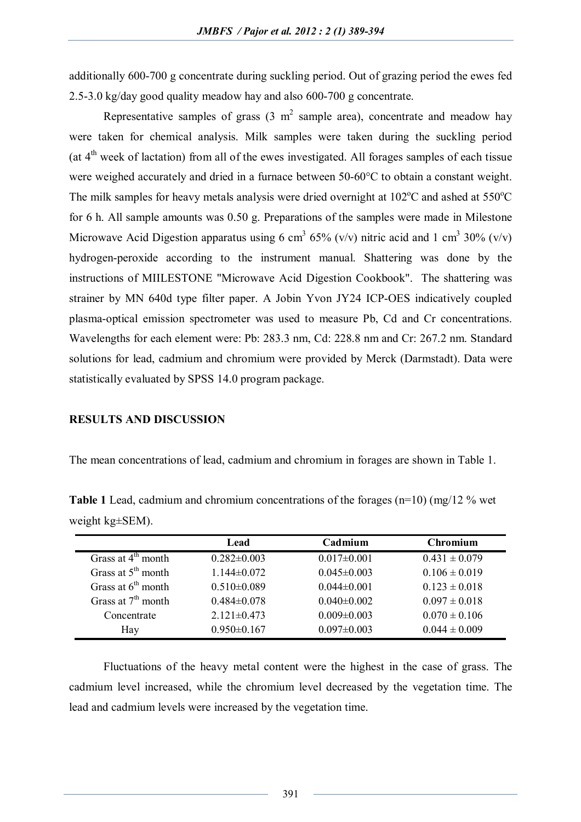additionally 600-700 g concentrate during suckling period. Out of grazing period the ewes fed 2.5-3.0 kg/day good quality meadow hay and also 600-700 g concentrate.

Representative samples of grass  $(3 \text{ m}^2 \text{ sample area})$ , concentrate and meadow hay were taken for chemical analysis. Milk samples were taken during the suckling period (at  $4<sup>th</sup>$  week of lactation) from all of the ewes investigated. All forages samples of each tissue were weighed accurately and dried in a furnace between 50-60°C to obtain a constant weight. The milk samples for heavy metals analysis were dried overnight at  $102^{\circ}$ C and ashed at  $550^{\circ}$ C for 6 h. All sample amounts was 0.50 g. Preparations of the samples were made in Milestone Microwave Acid Digestion apparatus using 6 cm<sup>3</sup> 65% (v/v) nitric acid and 1 cm<sup>3</sup> 30% (v/v) hydrogen-peroxide according to the instrument manual. Shattering was done by the instructions of MIILESTONE "Microwave Acid Digestion Cookbook". The shattering was strainer by MN 640d type filter paper. A Jobin Yvon JY24 ICP-OES indicatively coupled plasma-optical emission spectrometer was used to measure Pb, Cd and Cr concentrations. Wavelengths for each element were: Pb: 283.3 nm, Cd: 228.8 nm and Cr: 267.2 nm. Standard solutions for lead, cadmium and chromium were provided by Merck (Darmstadt). Data were statistically evaluated by SPSS 14.0 program package.

#### **RESULTS AND DISCUSSION**

The mean concentrations of lead, cadmium and chromium in forages are shown in Table 1.

**Table 1** Lead, cadmium and chromium concentrations of the forages (n=10) (mg/12 % wet weight kg±SEM).

|                      | Lead              | Cadmium           | <b>Chromium</b>   |
|----------------------|-------------------|-------------------|-------------------|
| Grass at $4th$ month | $0.282 \pm 0.003$ | $0.017 \pm 0.001$ | $0.431 \pm 0.079$ |
| Grass at $5th$ month | $1.144\pm0.072$   | $0.045\pm0.003$   | $0.106 \pm 0.019$ |
| Grass at $6th$ month | $0.510 \pm 0.089$ | $0.044 \pm 0.001$ | $0.123 \pm 0.018$ |
| Grass at $7th$ month | $0.484 \pm 0.078$ | $0.040\pm0.002$   | $0.097 \pm 0.018$ |
| Concentrate          | $2.121 \pm 0.473$ | $0.009 \pm 0.003$ | $0.070 \pm 0.106$ |
| Hay                  | $0.950 \pm 0.167$ | $0.097 \pm 0.003$ | $0.044 \pm 0.009$ |

Fluctuations of the heavy metal content were the highest in the case of grass. The cadmium level increased, while the chromium level decreased by the vegetation time. The lead and cadmium levels were increased by the vegetation time.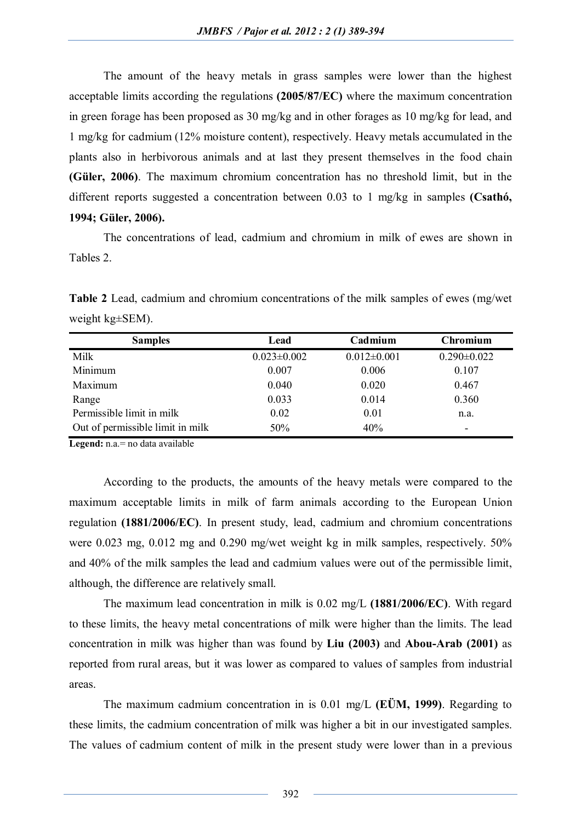The amount of the heavy metals in grass samples were lower than the highest acceptable limits according the regulations **(2005/87/EC)** where the maximum concentration in green forage has been proposed as 30 mg/kg and in other forages as 10 mg/kg for lead, and 1 mg/kg for cadmium (12% moisture content), respectively. Heavy metals accumulated in the plants also in herbivorous animals and at last they present themselves in the food chain **(Güler, 2006)**. The maximum chromium concentration has no threshold limit, but in the different reports suggested a concentration between 0.03 to 1 mg/kg in samples **(Csathó, 1994; Güler, 2006).** 

The concentrations of lead, cadmium and chromium in milk of ewes are shown in Tables 2.

**Table 2** Lead, cadmium and chromium concentrations of the milk samples of ewes (mg/wet weight kg±SEM).

| <b>Samples</b>                   | Lead              | Cadmium           | Chromium          |
|----------------------------------|-------------------|-------------------|-------------------|
| Milk                             | $0.023 \pm 0.002$ | $0.012 \pm 0.001$ | $0.290 \pm 0.022$ |
| Minimum                          | 0.007             | 0.006             | 0.107             |
| Maximum                          | 0.040             | 0.020             | 0.467             |
| Range                            | 0.033             | 0.014             | 0.360             |
| Permissible limit in milk        | 0.02              | 0.01              | n.a.              |
| Out of permissible limit in milk | 50%               | 40%               | -                 |

**Legend:** n.a.= no data available

According to the products, the amounts of the heavy metals were compared to the maximum acceptable limits in milk of farm animals according to the European Union regulation **(1881/2006/EC)**. In present study, lead, cadmium and chromium concentrations were 0.023 mg, 0.012 mg and 0.290 mg/wet weight kg in milk samples, respectively. 50% and 40% of the milk samples the lead and cadmium values were out of the permissible limit, although, the difference are relatively small.

The maximum lead concentration in milk is 0.02 mg/L **(1881/2006/EC)**. With regard to these limits, the heavy metal concentrations of milk were higher than the limits. The lead concentration in milk was higher than was found by **Liu (2003)** and **Abou-Arab (2001)** as reported from rural areas, but it was lower as compared to values of samples from industrial areas.

The maximum cadmium concentration in is 0.01 mg/L **(EÜM, 1999)**. Regarding to these limits, the cadmium concentration of milk was higher a bit in our investigated samples. The values of cadmium content of milk in the present study were lower than in a previous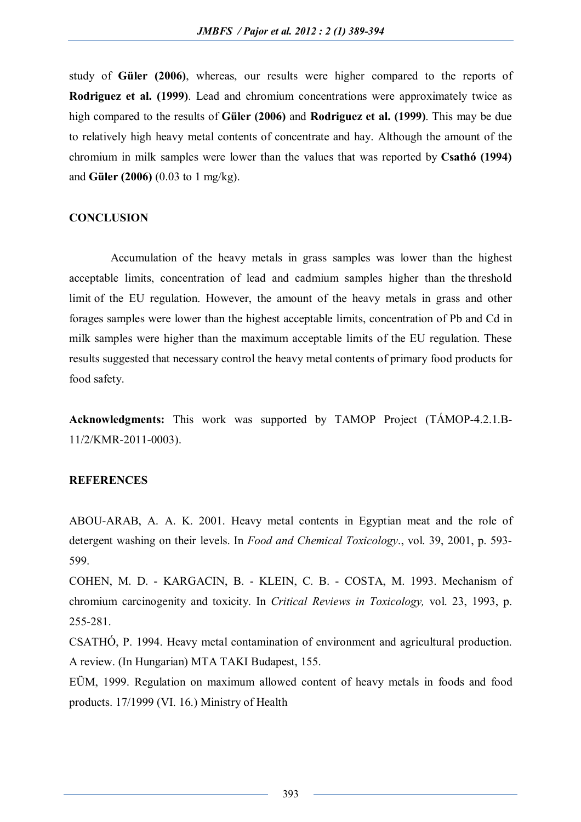study of **Güler (2006)**, whereas, our results were higher compared to the reports of **Rodriguez et al. (1999)**. Lead and chromium concentrations were approximately twice as high compared to the results of **Güler (2006)** and **Rodriguez et al. (1999)**. This may be due to relatively high heavy metal contents of concentrate and hay. Although the amount of the chromium in milk samples were lower than the values that was reported by **Csathó (1994)** and **Güler (2006)** (0.03 to 1 mg/kg).

### **CONCLUSION**

Accumulation of the heavy metals in grass samples was lower than the highest acceptable limits, concentration of lead and cadmium samples higher than the threshold limit of the EU regulation. However, the amount of the heavy metals in grass and other forages samples were lower than the highest acceptable limits, concentration of Pb and Cd in milk samples were higher than the maximum acceptable limits of the EU regulation. These results suggested that necessary control the heavy metal contents of primary food products for food safety.

**Acknowledgments:** This work was supported by TAMOP Project (TÁMOP-4.2.1.B-11/2/KMR-2011-0003).

#### **REFERENCES**

ABOU-ARAB, A. A. K. 2001. Heavy metal contents in Egyptian meat and the role of detergent washing on their levels. In *Food and Chemical Toxicology*., vol. 39, 2001, p. 593- 599.

COHEN, M. D. - KARGACIN, B. - KLEIN, C. B. - COSTA, M. 1993. Mechanism of chromium carcinogenity and toxicity. In *Critical Reviews in Toxicology,* vol. 23, 1993, p. 255-281.

CSATHÓ, P. 1994. Heavy metal contamination of environment and agricultural production. A review. (In Hungarian) MTA TAKI Budapest, 155.

EÜM, 1999. Regulation on maximum allowed content of heavy metals in foods and food products. 17/1999 (VI. 16.) Ministry of Health